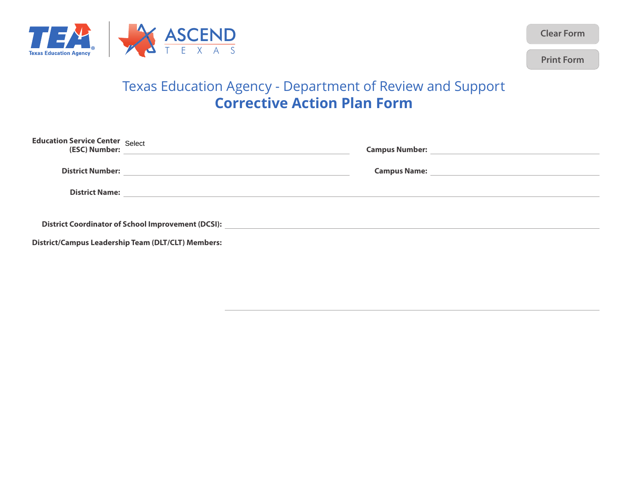

**Clear Form**

**Print Form**

## Texas Education Agency - Department of Review and Support **Corrective Action Plan Form**

| <b>Education Service Center</b> Select | (ESC) Number:                                                                     |  |
|----------------------------------------|-----------------------------------------------------------------------------------|--|
|                                        |                                                                                   |  |
|                                        |                                                                                   |  |
|                                        | District Coordinator of School Improvement (DCSI): ______________________________ |  |
|                                        | <b>District/Campus Leadership Team (DLT/CLT) Members:</b>                         |  |
|                                        |                                                                                   |  |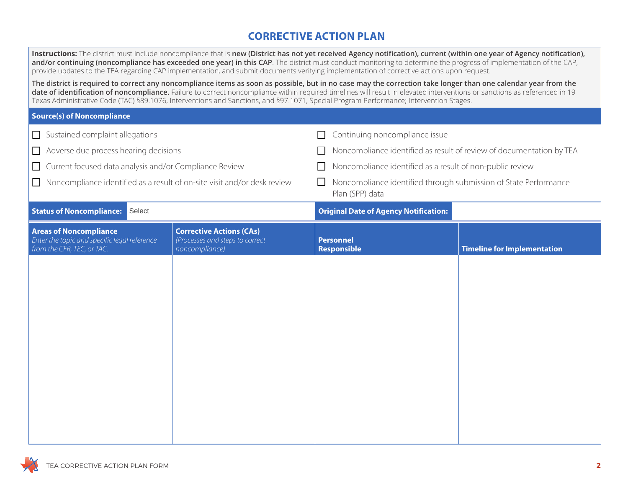## **CORRECTIVE ACTION PLAN**

|                                                                                 | and/or continuing (noncompliance has exceeded one year) in this CAP. The district must conduct monitoring to determine the progress of implementation of the CAP,<br>provide updates to the TEA regarding CAP implementation, and submit documents verifying implementation of corrective actions upon request.<br>The district is required to correct any noncompliance items as soon as possible, but in no case may the correction take longer than one calendar year from the | Instructions: The district must include noncompliance that is new (District has not yet received Agency notification), current (within one year of Agency notification), |                                    |
|---------------------------------------------------------------------------------|-----------------------------------------------------------------------------------------------------------------------------------------------------------------------------------------------------------------------------------------------------------------------------------------------------------------------------------------------------------------------------------------------------------------------------------------------------------------------------------|--------------------------------------------------------------------------------------------------------------------------------------------------------------------------|------------------------------------|
|                                                                                 | date of identification of noncompliance. Failure to correct noncompliance within required timelines will result in elevated interventions or sanctions as referenced in 19<br>Texas Administrative Code (TAC) §89.1076, Interventions and Sanctions, and §97.1071, Special Program Performance; Intervention Stages.                                                                                                                                                              |                                                                                                                                                                          |                                    |
| <b>Source(s) of Noncompliance</b>                                               |                                                                                                                                                                                                                                                                                                                                                                                                                                                                                   |                                                                                                                                                                          |                                    |
| $\Box$ Sustained complaint allegations                                          |                                                                                                                                                                                                                                                                                                                                                                                                                                                                                   | Continuing noncompliance issue<br>$\Box$                                                                                                                                 |                                    |
| $\Box$ Adverse due process hearing decisions                                    |                                                                                                                                                                                                                                                                                                                                                                                                                                                                                   | Noncompliance identified as result of review of documentation by TEA<br>$\perp$                                                                                          |                                    |
| □ Current focused data analysis and/or Compliance Review                        |                                                                                                                                                                                                                                                                                                                                                                                                                                                                                   | Noncompliance identified as a result of non-public review<br>$\Box$                                                                                                      |                                    |
| $\Box$ Noncompliance identified as a result of on-site visit and/or desk review |                                                                                                                                                                                                                                                                                                                                                                                                                                                                                   | $\Box$<br>Noncompliance identified through submission of State Performance<br>Plan (SPP) data                                                                            |                                    |
| <b>Status of Noncompliance:</b><br>Select                                       |                                                                                                                                                                                                                                                                                                                                                                                                                                                                                   | <b>Original Date of Agency Notification:</b>                                                                                                                             |                                    |
| <b>Areas of Noncompliance</b><br>Enter the topic and specific legal reference   | <b>Corrective Actions (CAs)</b><br>(Processes and steps to correct                                                                                                                                                                                                                                                                                                                                                                                                                | <b>Personnel</b>                                                                                                                                                         |                                    |
| from the CFR, TEC, or TAC.                                                      | noncompliance)                                                                                                                                                                                                                                                                                                                                                                                                                                                                    | <b>Responsible</b>                                                                                                                                                       | <b>Timeline for Implementation</b> |
|                                                                                 |                                                                                                                                                                                                                                                                                                                                                                                                                                                                                   |                                                                                                                                                                          |                                    |
|                                                                                 |                                                                                                                                                                                                                                                                                                                                                                                                                                                                                   |                                                                                                                                                                          |                                    |
|                                                                                 |                                                                                                                                                                                                                                                                                                                                                                                                                                                                                   |                                                                                                                                                                          |                                    |
|                                                                                 |                                                                                                                                                                                                                                                                                                                                                                                                                                                                                   |                                                                                                                                                                          |                                    |
|                                                                                 |                                                                                                                                                                                                                                                                                                                                                                                                                                                                                   |                                                                                                                                                                          |                                    |
|                                                                                 |                                                                                                                                                                                                                                                                                                                                                                                                                                                                                   |                                                                                                                                                                          |                                    |
|                                                                                 |                                                                                                                                                                                                                                                                                                                                                                                                                                                                                   |                                                                                                                                                                          |                                    |
|                                                                                 |                                                                                                                                                                                                                                                                                                                                                                                                                                                                                   |                                                                                                                                                                          |                                    |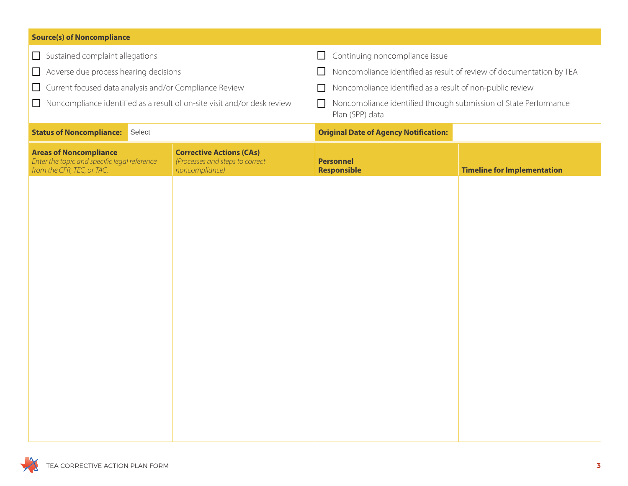| <b>Source(s) of Noncompliance</b>                                                                           |  |                                                                                      |                                              |  |                                                                      |
|-------------------------------------------------------------------------------------------------------------|--|--------------------------------------------------------------------------------------|----------------------------------------------|--|----------------------------------------------------------------------|
| $\Box$ Sustained complaint allegations                                                                      |  | $\Box$                                                                               | Continuing noncompliance issue               |  |                                                                      |
| Adverse due process hearing decisions<br>$\Box$                                                             |  |                                                                                      | $\Box$                                       |  | Noncompliance identified as result of review of documentation by TEA |
| Current focused data analysis and/or Compliance Review<br>$\Box$                                            |  |                                                                                      | $\Box$                                       |  | Noncompliance identified as a result of non-public review            |
| $\Box$                                                                                                      |  | Noncompliance identified as a result of on-site visit and/or desk review             | $\Box$<br>Plan (SPP) data                    |  | Noncompliance identified through submission of State Performance     |
| <b>Status of Noncompliance:</b><br>Select                                                                   |  |                                                                                      | <b>Original Date of Agency Notification:</b> |  |                                                                      |
| <b>Areas of Noncompliance</b><br>Enter the topic and specific legal reference<br>from the CFR, TEC, or TAC. |  | <b>Corrective Actions (CAs)</b><br>(Processes and steps to correct<br>noncompliance) | <b>Personnel</b><br><b>Responsible</b>       |  | <b>Timeline for Implementation</b>                                   |
|                                                                                                             |  |                                                                                      |                                              |  |                                                                      |
|                                                                                                             |  |                                                                                      |                                              |  |                                                                      |
|                                                                                                             |  |                                                                                      |                                              |  |                                                                      |
|                                                                                                             |  |                                                                                      |                                              |  |                                                                      |
|                                                                                                             |  |                                                                                      |                                              |  |                                                                      |
|                                                                                                             |  |                                                                                      |                                              |  |                                                                      |
|                                                                                                             |  |                                                                                      |                                              |  |                                                                      |
|                                                                                                             |  |                                                                                      |                                              |  |                                                                      |
|                                                                                                             |  |                                                                                      |                                              |  |                                                                      |
|                                                                                                             |  |                                                                                      |                                              |  |                                                                      |
|                                                                                                             |  |                                                                                      |                                              |  |                                                                      |
|                                                                                                             |  |                                                                                      |                                              |  |                                                                      |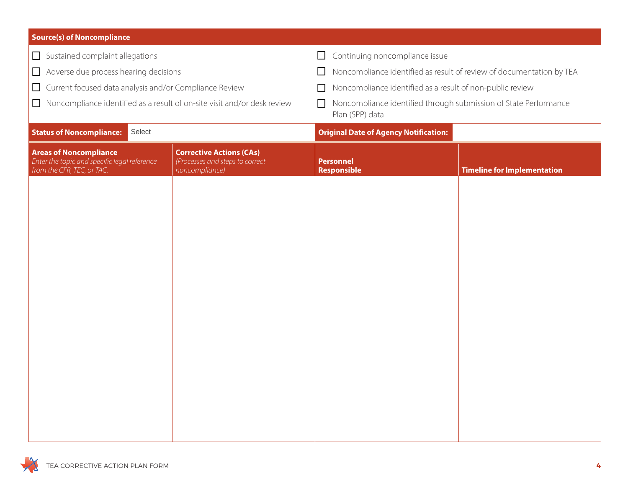| <b>Source(s) of Noncompliance</b>                                                                           |                                                                                      |                                                                                               |                                                                      |  |
|-------------------------------------------------------------------------------------------------------------|--------------------------------------------------------------------------------------|-----------------------------------------------------------------------------------------------|----------------------------------------------------------------------|--|
| Sustained complaint allegations                                                                             |                                                                                      | Continuing noncompliance issue<br>$\Box$                                                      |                                                                      |  |
| $\Box$                                                                                                      | Adverse due process hearing decisions<br>$\Box$                                      |                                                                                               | Noncompliance identified as result of review of documentation by TEA |  |
| Current focused data analysis and/or Compliance Review                                                      |                                                                                      | Noncompliance identified as a result of non-public review<br>$\Box$                           |                                                                      |  |
| Noncompliance identified as a result of on-site visit and/or desk review<br>$\Box$                          |                                                                                      | Noncompliance identified through submission of State Performance<br>$\Box$<br>Plan (SPP) data |                                                                      |  |
| Select<br><b>Status of Noncompliance:</b>                                                                   |                                                                                      | <b>Original Date of Agency Notification:</b>                                                  |                                                                      |  |
| <b>Areas of Noncompliance</b><br>Enter the topic and specific legal reference<br>from the CFR, TEC, or TAC. | <b>Corrective Actions (CAs)</b><br>(Processes and steps to correct<br>noncompliance) | <b>Personnel</b><br><b>Timeline for Implementation</b><br>Responsible                         |                                                                      |  |
|                                                                                                             |                                                                                      |                                                                                               |                                                                      |  |
|                                                                                                             |                                                                                      |                                                                                               |                                                                      |  |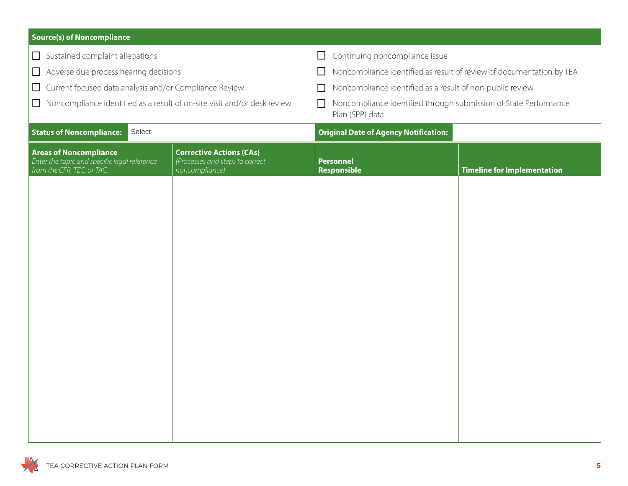| <b>Source(s) of Noncompliance</b>                                                                           |                                                                                      |                                                                                               |                                    |  |
|-------------------------------------------------------------------------------------------------------------|--------------------------------------------------------------------------------------|-----------------------------------------------------------------------------------------------|------------------------------------|--|
| Sustained complaint allegations                                                                             |                                                                                      | Continuing noncompliance issue<br>$\Box$                                                      |                                    |  |
| Adverse due process hearing decisions<br>$\Box$                                                             |                                                                                      | Noncompliance identified as result of review of documentation by TEA<br>$\Box$                |                                    |  |
| □ Current focused data analysis and/or Compliance Review                                                    |                                                                                      | Noncompliance identified as a result of non-public review<br>$\Box$                           |                                    |  |
| Noncompliance identified as a result of on-site visit and/or desk review<br>$\Box$                          |                                                                                      | Noncompliance identified through submission of State Performance<br>$\Box$<br>Plan (SPP) data |                                    |  |
| <b>Status of Noncompliance:</b><br>Select                                                                   |                                                                                      | <b>Original Date of Agency Notification:</b>                                                  |                                    |  |
| <b>Areas of Noncompliance</b><br>Enter the topic and specific legal reference<br>from the CFR, TEC, or TAC. | <b>Corrective Actions (CAs)</b><br>(Processes and steps to correct<br>noncompliance) | <b>Personnel</b><br>Responsible                                                               | <b>Timeline for Implementation</b> |  |
|                                                                                                             |                                                                                      |                                                                                               |                                    |  |
|                                                                                                             |                                                                                      |                                                                                               |                                    |  |
|                                                                                                             |                                                                                      |                                                                                               |                                    |  |
|                                                                                                             |                                                                                      |                                                                                               |                                    |  |
|                                                                                                             |                                                                                      |                                                                                               |                                    |  |
|                                                                                                             |                                                                                      |                                                                                               |                                    |  |
|                                                                                                             |                                                                                      |                                                                                               |                                    |  |
|                                                                                                             |                                                                                      |                                                                                               |                                    |  |
|                                                                                                             |                                                                                      |                                                                                               |                                    |  |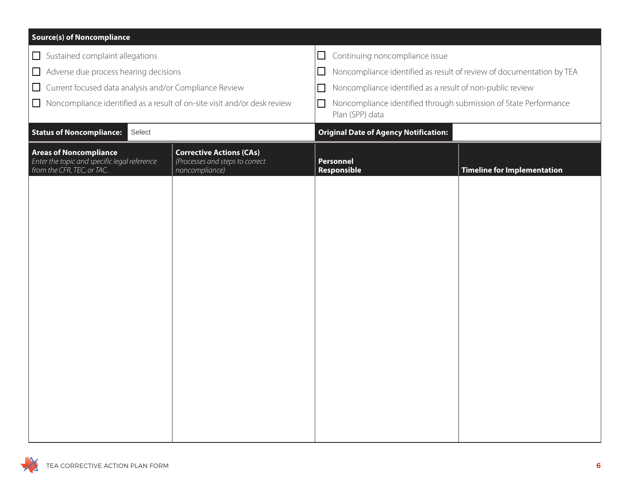| <b>Source(s) of Noncompliance</b>                                                                           |                                                                                      |                                                                                          |                                    |
|-------------------------------------------------------------------------------------------------------------|--------------------------------------------------------------------------------------|------------------------------------------------------------------------------------------|------------------------------------|
| Sustained complaint allegations                                                                             |                                                                                      | $\Box$<br>Continuing noncompliance issue                                                 |                                    |
| $\Box$ Adverse due process hearing decisions                                                                |                                                                                      | Noncompliance identified as result of review of documentation by TEA<br>$\Box$           |                                    |
| Current focused data analysis and/or Compliance Review<br>$\Box$                                            |                                                                                      | Noncompliance identified as a result of non-public review<br>$\Box$                      |                                    |
| $\Box$ Noncompliance identified as a result of on-site visit and/or desk review                             |                                                                                      | Noncompliance identified through submission of State Performance<br>□<br>Plan (SPP) data |                                    |
| <b>Status of Noncompliance:</b><br>Select                                                                   |                                                                                      | <b>Original Date of Agency Notification:</b>                                             |                                    |
| <b>Areas of Noncompliance</b><br>Enter the topic and specific legal reference<br>from the CFR, TEC, or TAC. | <b>Corrective Actions (CAs)</b><br>(Processes and steps to correct<br>noncompliance) | <b>Personnel</b><br>Responsible                                                          | <b>Timeline for Implementation</b> |
|                                                                                                             |                                                                                      |                                                                                          |                                    |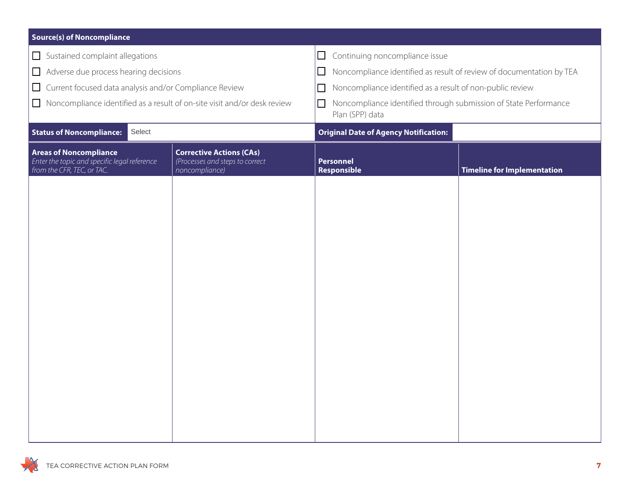| <b>Source(s) of Noncompliance</b>                                                                           |                                                                                      |                                                                                               |                                    |
|-------------------------------------------------------------------------------------------------------------|--------------------------------------------------------------------------------------|-----------------------------------------------------------------------------------------------|------------------------------------|
| Sustained complaint allegations                                                                             |                                                                                      | Continuing noncompliance issue<br>$\Box$                                                      |                                    |
| Adverse due process hearing decisions<br>$\Box$                                                             |                                                                                      | Noncompliance identified as result of review of documentation by TEA<br>$\Box$                |                                    |
| Current focused data analysis and/or Compliance Review<br>$\Box$                                            |                                                                                      | Noncompliance identified as a result of non-public review<br>$\Box$                           |                                    |
| $\Box$ Noncompliance identified as a result of on-site visit and/or desk review                             |                                                                                      | Noncompliance identified through submission of State Performance<br>$\Box$<br>Plan (SPP) data |                                    |
| Select<br><b>Status of Noncompliance:</b>                                                                   |                                                                                      | <b>Original Date of Agency Notification:</b>                                                  |                                    |
| <b>Areas of Noncompliance</b><br>Enter the topic and specific legal reference<br>from the CFR, TEC, or TAC. | <b>Corrective Actions (CAs)</b><br>(Processes and steps to correct<br>noncompliance) | <b>Personnel</b><br>Responsible                                                               | <b>Timeline for Implementation</b> |
|                                                                                                             |                                                                                      |                                                                                               |                                    |
|                                                                                                             |                                                                                      |                                                                                               |                                    |
|                                                                                                             |                                                                                      |                                                                                               |                                    |
|                                                                                                             |                                                                                      |                                                                                               |                                    |
|                                                                                                             |                                                                                      |                                                                                               |                                    |
|                                                                                                             |                                                                                      |                                                                                               |                                    |
|                                                                                                             |                                                                                      |                                                                                               |                                    |
|                                                                                                             |                                                                                      |                                                                                               |                                    |
|                                                                                                             |                                                                                      |                                                                                               |                                    |
|                                                                                                             |                                                                                      |                                                                                               |                                    |
|                                                                                                             |                                                                                      |                                                                                               |                                    |
|                                                                                                             |                                                                                      |                                                                                               |                                    |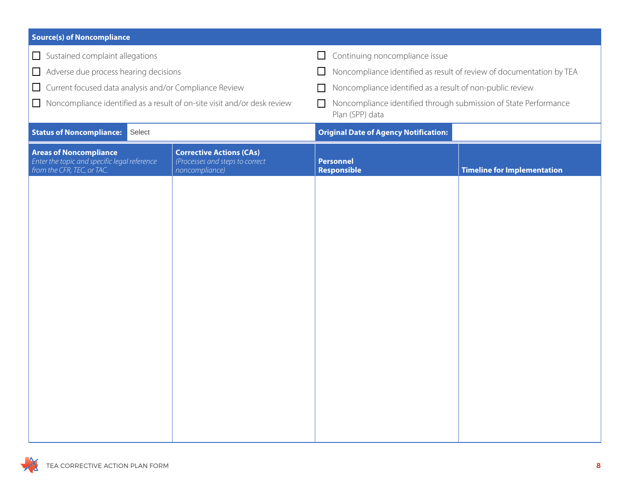| <b>Source(s) of Noncompliance</b>                                                                           |                                                                                      |                                                                                               |                                    |
|-------------------------------------------------------------------------------------------------------------|--------------------------------------------------------------------------------------|-----------------------------------------------------------------------------------------------|------------------------------------|
| Sustained complaint allegations                                                                             |                                                                                      | Continuing noncompliance issue<br>$\Box$                                                      |                                    |
| Adverse due process hearing decisions<br>$\Box$                                                             |                                                                                      | Noncompliance identified as result of review of documentation by TEA<br>ப                     |                                    |
| □ Current focused data analysis and/or Compliance Review                                                    |                                                                                      | Noncompliance identified as a result of non-public review                                     |                                    |
| Noncompliance identified as a result of on-site visit and/or desk review<br>$\Box$                          |                                                                                      | Noncompliance identified through submission of State Performance<br>$\Box$<br>Plan (SPP) data |                                    |
| <b>Status of Noncompliance:</b><br>Select                                                                   |                                                                                      | <b>Original Date of Agency Notification:</b>                                                  |                                    |
| <b>Areas of Noncompliance</b><br>Enter the topic and specific legal reference<br>from the CFR, TEC, or TAC. | <b>Corrective Actions (CAs)</b><br>(Processes and steps to correct<br>noncompliance) | <b>Personnel</b><br>Responsible                                                               | <b>Timeline for Implementation</b> |
|                                                                                                             |                                                                                      |                                                                                               |                                    |
|                                                                                                             |                                                                                      |                                                                                               |                                    |
|                                                                                                             |                                                                                      |                                                                                               |                                    |
|                                                                                                             |                                                                                      |                                                                                               |                                    |
|                                                                                                             |                                                                                      |                                                                                               |                                    |
|                                                                                                             |                                                                                      |                                                                                               |                                    |
|                                                                                                             |                                                                                      |                                                                                               |                                    |
|                                                                                                             |                                                                                      |                                                                                               |                                    |
|                                                                                                             |                                                                                      |                                                                                               |                                    |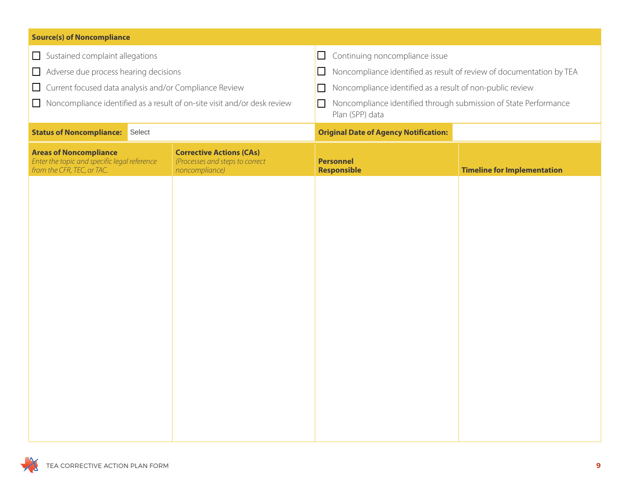| <b>Source(s) of Noncompliance</b>                                                                           |                                                                                      |                                                                                               |                                    |
|-------------------------------------------------------------------------------------------------------------|--------------------------------------------------------------------------------------|-----------------------------------------------------------------------------------------------|------------------------------------|
| $\Box$ Sustained complaint allegations                                                                      |                                                                                      | Continuing noncompliance issue<br>$\Box$                                                      |                                    |
| Adverse due process hearing decisions<br>$\Box$                                                             |                                                                                      | Noncompliance identified as result of review of documentation by TEA<br>$\Box$                |                                    |
| Current focused data analysis and/or Compliance Review<br>$\Box$                                            |                                                                                      | Noncompliance identified as a result of non-public review<br>$\Box$                           |                                    |
| $\Box$                                                                                                      | Noncompliance identified as a result of on-site visit and/or desk review             | Noncompliance identified through submission of State Performance<br>$\Box$<br>Plan (SPP) data |                                    |
| <b>Status of Noncompliance:</b> Select                                                                      |                                                                                      | <b>Original Date of Agency Notification:</b>                                                  |                                    |
| <b>Areas of Noncompliance</b><br>Enter the topic and specific legal reference<br>from the CFR, TEC, or TAC. | <b>Corrective Actions (CAs)</b><br>(Processes and steps to correct<br>noncompliance) | <b>Personnel</b><br><b>Responsible</b>                                                        | <b>Timeline for Implementation</b> |
|                                                                                                             |                                                                                      |                                                                                               |                                    |
|                                                                                                             |                                                                                      |                                                                                               |                                    |
|                                                                                                             |                                                                                      |                                                                                               |                                    |
|                                                                                                             |                                                                                      |                                                                                               |                                    |
|                                                                                                             |                                                                                      |                                                                                               |                                    |
|                                                                                                             |                                                                                      |                                                                                               |                                    |
|                                                                                                             |                                                                                      |                                                                                               |                                    |
|                                                                                                             |                                                                                      |                                                                                               |                                    |
|                                                                                                             |                                                                                      |                                                                                               |                                    |
|                                                                                                             |                                                                                      |                                                                                               |                                    |
|                                                                                                             |                                                                                      |                                                                                               |                                    |
|                                                                                                             |                                                                                      |                                                                                               |                                    |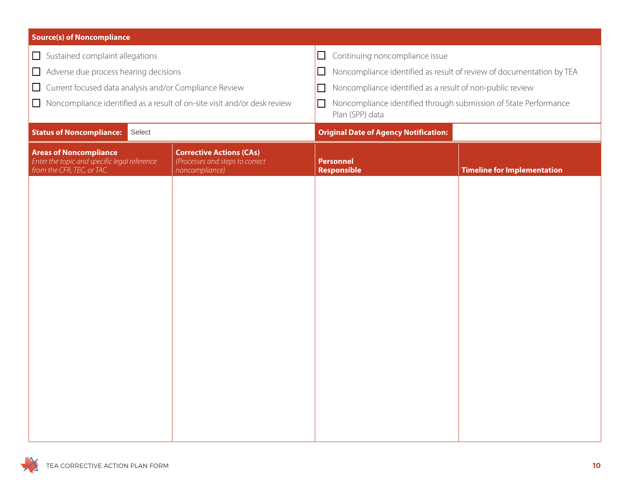| <b>Source(s) of Noncompliance</b>                                                                           |                                                                                      |                                                                                               |                                                                      |  |
|-------------------------------------------------------------------------------------------------------------|--------------------------------------------------------------------------------------|-----------------------------------------------------------------------------------------------|----------------------------------------------------------------------|--|
| Sustained complaint allegations                                                                             |                                                                                      | Continuing noncompliance issue<br>$\Box$                                                      |                                                                      |  |
| $\Box$                                                                                                      | Adverse due process hearing decisions<br>$\Box$                                      |                                                                                               | Noncompliance identified as result of review of documentation by TEA |  |
| Current focused data analysis and/or Compliance Review                                                      |                                                                                      | Noncompliance identified as a result of non-public review<br>$\Box$                           |                                                                      |  |
| Noncompliance identified as a result of on-site visit and/or desk review<br>$\Box$                          |                                                                                      | Noncompliance identified through submission of State Performance<br>$\Box$<br>Plan (SPP) data |                                                                      |  |
| <b>Status of Noncompliance:</b><br>Select                                                                   |                                                                                      | <b>Original Date of Agency Notification:</b>                                                  |                                                                      |  |
| <b>Areas of Noncompliance</b><br>Enter the topic and specific legal reference<br>from the CFR, TEC, or TAC. | <b>Corrective Actions (CAs)</b><br>(Processes and steps to correct<br>noncompliance) | <b>Personnel</b><br>Responsible                                                               | <b>Timeline for Implementation</b>                                   |  |
|                                                                                                             |                                                                                      |                                                                                               |                                                                      |  |
|                                                                                                             |                                                                                      |                                                                                               |                                                                      |  |
|                                                                                                             |                                                                                      |                                                                                               |                                                                      |  |
|                                                                                                             |                                                                                      |                                                                                               |                                                                      |  |
|                                                                                                             |                                                                                      |                                                                                               |                                                                      |  |